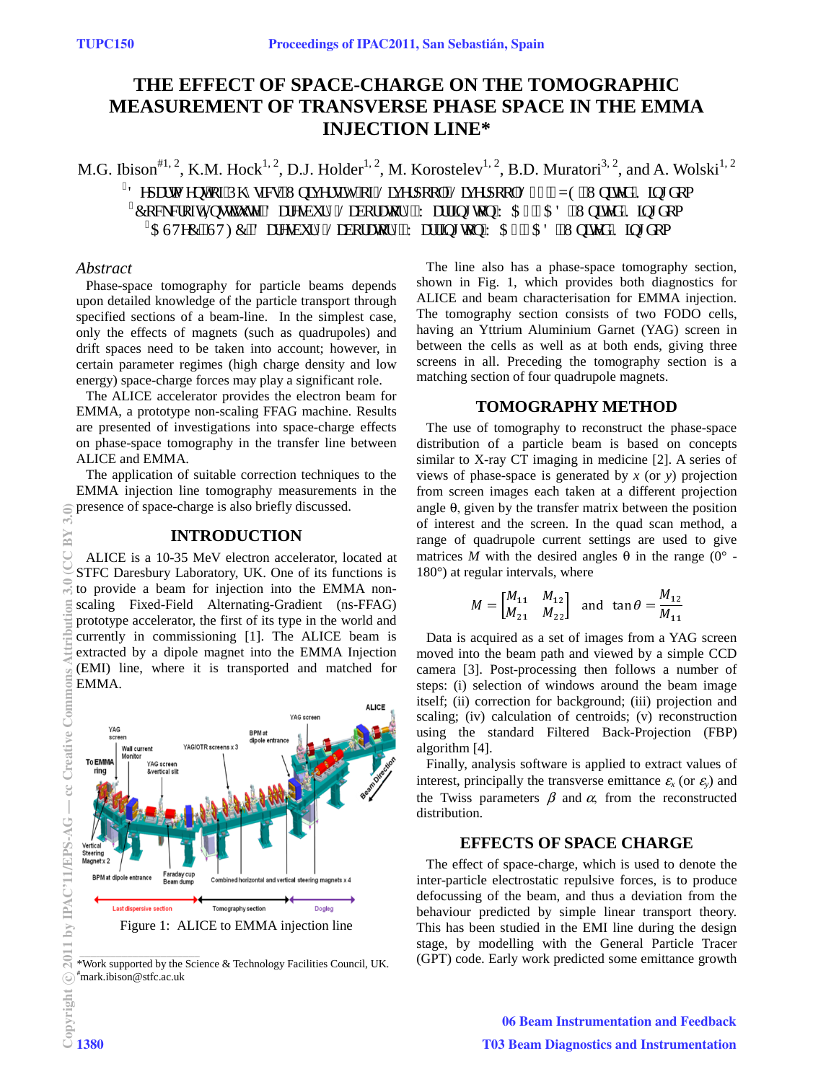# **THE EFFECT OF SPACE-CHARGE ON THE TOMOGRAPHIC MEASUREMENT OF TRANSVERSE PHASE SPACE IN THE EMMA INJECTION LINE\***

M.G. Ibison<sup>#1, 2</sup>, K.M. Hock<sup>1, 2</sup>, D.J. Holder<sup>1, 2</sup>, M. Korostelev<sup>1, 2</sup>, B.D. Muratori<sup>3, 2</sup>, and A. Wolski<sup>1, 2</sup>

 $^3$ F grctvo gpv'qh'Rj {ukeu.''Wpkxgtukv{''qh'Nkxgtrqqn'Nkxgtrqqn'N8; '9\ G.''Wpkvgf ''Mkpifqo  $^4$ Egenetqhv'Kpuxkww.g.'Fctgudwt { 'Ncdqtcvqt {.'Ycttkpi vqp'YC6'6CF.'Wpkxgf 'Mkpifqo  $^5$ CUVgE.''UVHE.'F ctgudwt { 'Ncdqtcvqt {.'Y cttkpi vqp'Y C6'6CF.''Wpkgf 'Mkpi f q0

#### *Abstract*

 $3.0$ BY

Phase-space tomography for particle beams depends upon detailed knowledge of the particle transport through specified sections of a beam-line. In the simplest case, only the effects of magnets (such as quadrupoles) and drift spaces need to be taken into account; however, in certain parameter regimes (high charge density and low energy) space-charge forces may play a significant role.

The ALICE accelerator provides the electron beam for EMMA, a prototype non-scaling FFAG machine. Results are presented of investigations into space-charge effects on phase-space tomography in the transfer line between ALICE and EMMA.

The application of suitable correction techniques to the EMMA injection line tomography measurements in the presence of space-charge is also briefly discussed.

### **INTRODUCTION**

ALICE is a 10-35 MeV electron accelerator, located at STFC Daresbury Laboratory, UK. One of its functions is to provide a beam for injection into the EMMA nonscaling Fixed-Field Alternating-Gradient (ns-FFAG) prototype accelerator, the first of its type in the world and currently in commissioning [1]. The ALICE beam is extracted by a dipole magnet into the EMMA Injection (EMI) line, where it is transported and matched for EMMA.



<sup>\*</sup>Work supported by the Science & Technology Facilities Council, UK. # mark.ibison@stfc.ac.uk

The line also has a phase-space tomography section, shown in Fig. 1, which provides both diagnostics for ALICE and beam characterisation for EMMA injection. The tomography section consists of two FODO cells, having an Yttrium Aluminium Garnet (YAG) screen in between the cells as well as at both ends, giving three screens in all. Preceding the tomography section is a matching section of four quadrupole magnets.

### **TOMOGRAPHY METHOD**

The use of tomography to reconstruct the phase-space distribution of a particle beam is based on concepts similar to X-ray CT imaging in medicine [2]. A series of views of phase-space is generated by *x* (or *y*) projection from screen images each taken at a different projection angle  $\theta$ , given by the transfer matrix between the position of interest and the screen. In the quad scan method, a range of quadrupole current settings are used to give matrices *M* with the desired angles  $\theta$  in the range (0° -180°) at regular intervals, where

$$
M = \begin{bmatrix} M_{11} & M_{12} \\ M_{21} & M_{22} \end{bmatrix} \text{ and } \tan \theta = \frac{M_{12}}{M_{11}}
$$

 $\overline{11}$ Data is acquired as a set of images from a YAG screen moved into the beam path and viewed by a simple CCD camera [3]. Post-processing then follows a number of steps: (i) selection of windows around the beam image itself; (ii) correction for background; (iii) projection and scaling; (iv) calculation of centroids; (v) reconstruction using the standard Filtered Back-Projection (FBP) algorithm [4].

Finally, analysis software is applied to extract values of interest, principally the transverse emittance  $\varepsilon_x$  (or  $\varepsilon_y$ ) and the Twiss parameters  $\beta$  and  $\alpha$ , from the reconstructed distribution.

### **EFFECTS OF SPACE CHARGE**

The effect of space-charge, which is used to denote the inter-particle electrostatic repulsive forces, is to produce defocussing of the beam, and thus a deviation from the behaviour predicted by simple linear transport theory. This has been studied in the EMI line during the design stage, by modelling with the General Particle Tracer (GPT) code. Early work predicted some emittance growth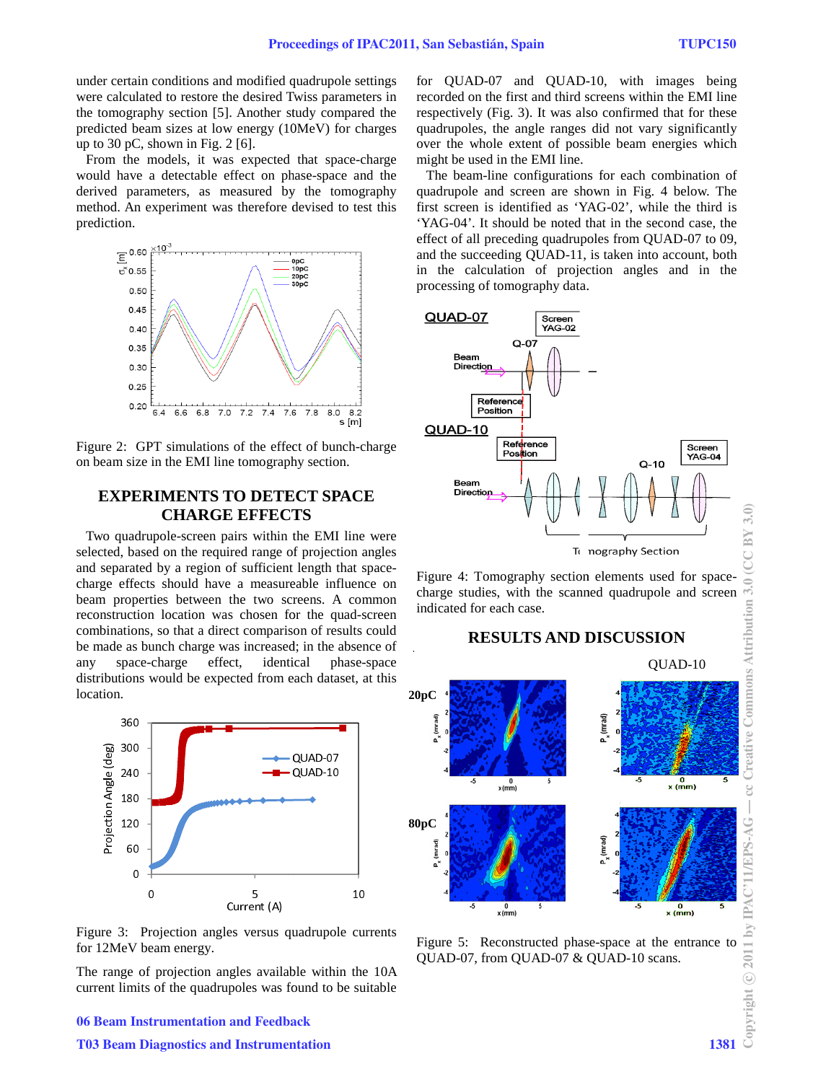under certain conditions and modified q quadrupole settings were calculated to restore the desired Twiss parameters in the tomography section [5]. Another study compared the predicted beam sizes at low energy (10 10MeV) for charges up to 30 pC, shown in Fig.  $2 \times 6$ .

From the models, it was expected that space-charge would have a detectable effect on phase-space and the derived parameters, as measured by the tomography method. An experiment was therefore devised to test this prediction.



Figure 2: GPT simulations of the effect of bunch-charge on beam size in the EMI line tomography section.

## **EXPERIMENTS TO DETECT SPACE CHARGE EFFECT CTS**

Two quadrupole-screen pairs within the EMI line were selected, based on the required range of projection angles and separated by a region of sufficient length that spacecharge effects should have a measureable influence on beam properties between the two screens. A common reconstruction location was chosen for the quad-screen combinations, so that a direct comparison of results could be made as bunch charge was increased; in the absence of any space-charge effect, identic distributions would be expected from each dataset, at this location. phase-space



Figure 3: Projection angles versus quadrupole currents for 12MeV beam energy.

The range of projection angles available within the 10A current limits of the quadrupoles was found to be suitable

for QUAD-07 and QUAD-10, with images being recorded on the first and third screens within the EMI line respectively (Fig. 3). It was als also confirmed that for these quadrupoles, the angle ranges did not vary significantly over the whole extent of possible beam energies which might be used in the EMI line.

The beam-line configurations for each combination of quadrupole and screen are shown in Fig. 4 below. The first screen is identified as 'YAG-02', while the third is 'YAG-04'. It should be noted that in the second case, the effect of all preceding quadrupoles from QUAD-07 to 09, and the succeeding QUAD-11, is taken into account, both in the calculation of projection angles and in the processing of tomography data.



Figure 4: Tomography section elements used for spacecharge studies, with the scanned quadrupole and screen indicated for each case.



# **RESULTS AND D DISCUSSION**

Figure 5: Reconstructed phase-space at the entrance to QUAD-07, from QUAD-07 & Q QUAD-10 scans.

### 06 Beam Instrumentation and Feedback